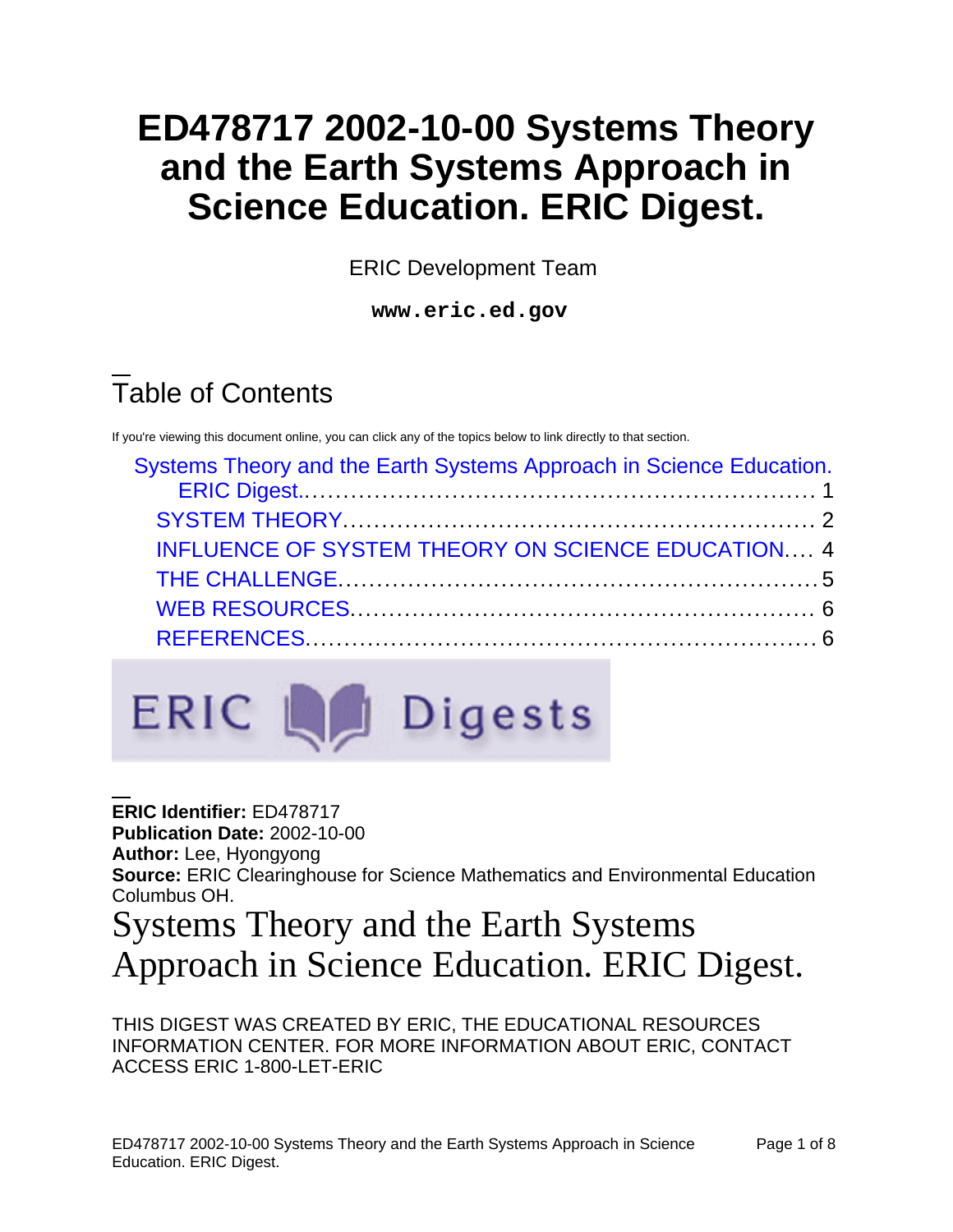# **ED478717 2002-10-00 Systems Theory and the Earth Systems Approach in Science Education. ERIC Digest.**

ERIC Development Team

**www.eric.ed.gov**

# Table of Contents

If you're viewing this document online, you can click any of the topics below to link directly to that section.

| Systems Theory and the Earth Systems Approach in Science Education. |  |
|---------------------------------------------------------------------|--|
|                                                                     |  |
| <b>INFLUENCE OF SYSTEM THEORY ON SCIENCE EDUCATION 4</b>            |  |
|                                                                     |  |
|                                                                     |  |
|                                                                     |  |



**ERIC Identifier:** ED478717 **Publication Date:** 2002-10-00 **Author:** Lee, Hyongyong **Source:** ERIC Clearinghouse for Science Mathematics and Environmental Education Columbus OH. Systems Theory and the Earth Systems

<span id="page-0-0"></span>Approach in Science Education. ERIC Digest.

THIS DIGEST WAS CREATED BY ERIC, THE EDUCATIONAL RESOURCES INFORMATION CENTER. FOR MORE INFORMATION ABOUT ERIC, CONTACT ACCESS ERIC 1-800-LET-ERIC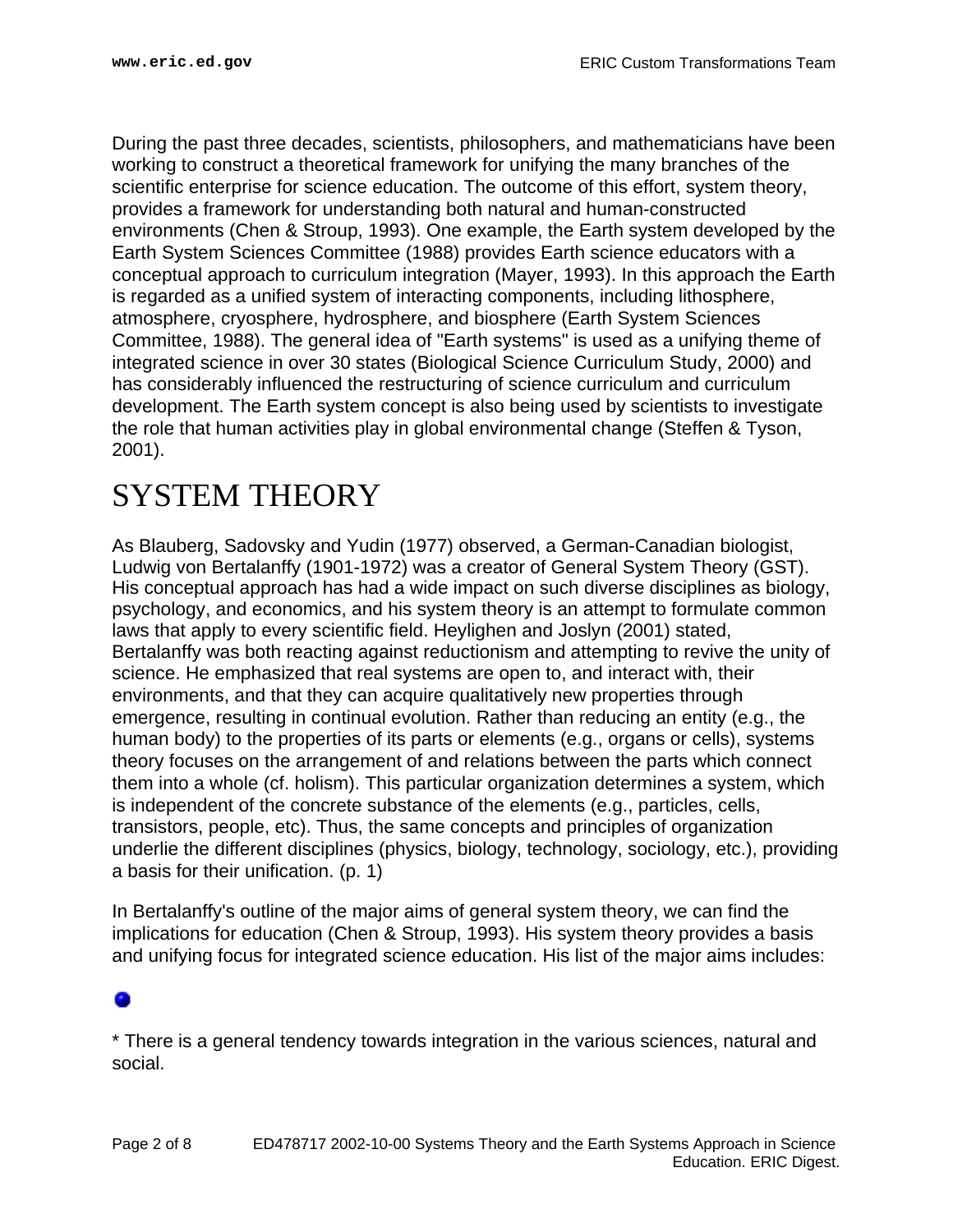During the past three decades, scientists, philosophers, and mathematicians have been working to construct a theoretical framework for unifying the many branches of the scientific enterprise for science education. The outcome of this effort, system theory, provides a framework for understanding both natural and human-constructed environments (Chen & Stroup, 1993). One example, the Earth system developed by the Earth System Sciences Committee (1988) provides Earth science educators with a conceptual approach to curriculum integration (Mayer, 1993). In this approach the Earth is regarded as a unified system of interacting components, including lithosphere, atmosphere, cryosphere, hydrosphere, and biosphere (Earth System Sciences Committee, 1988). The general idea of "Earth systems" is used as a unifying theme of integrated science in over 30 states (Biological Science Curriculum Study, 2000) and has considerably influenced the restructuring of science curriculum and curriculum development. The Earth system concept is also being used by scientists to investigate the role that human activities play in global environmental change (Steffen & Tyson, 2001).

## <span id="page-1-0"></span>SYSTEM THEORY

As Blauberg, Sadovsky and Yudin (1977) observed, a German-Canadian biologist, Ludwig von Bertalanffy (1901-1972) was a creator of General System Theory (GST). His conceptual approach has had a wide impact on such diverse disciplines as biology, psychology, and economics, and his system theory is an attempt to formulate common laws that apply to every scientific field. Heylighen and Joslyn (2001) stated, Bertalanffy was both reacting against reductionism and attempting to revive the unity of science. He emphasized that real systems are open to, and interact with, their environments, and that they can acquire qualitatively new properties through emergence, resulting in continual evolution. Rather than reducing an entity (e.g., the human body) to the properties of its parts or elements (e.g., organs or cells), systems theory focuses on the arrangement of and relations between the parts which connect them into a whole (cf. holism). This particular organization determines a system, which is independent of the concrete substance of the elements (e.g., particles, cells, transistors, people, etc). Thus, the same concepts and principles of organization underlie the different disciplines (physics, biology, technology, sociology, etc.), providing a basis for their unification. (p. 1)

In Bertalanffy's outline of the major aims of general system theory, we can find the implications for education (Chen & Stroup, 1993). His system theory provides a basis and unifying focus for integrated science education. His list of the major aims includes:

\* There is a general tendency towards integration in the various sciences, natural and social.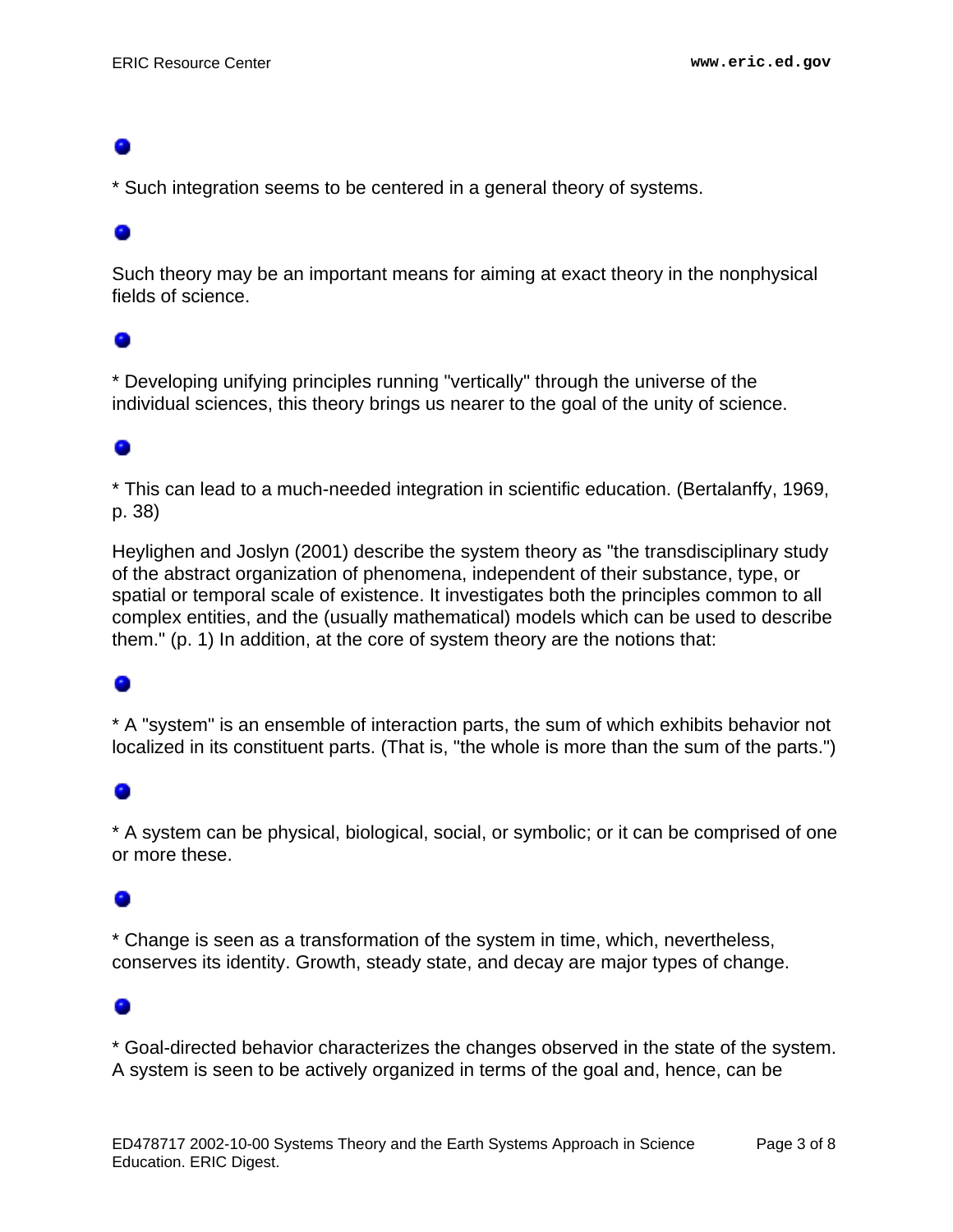\* Such integration seems to be centered in a general theory of systems.

### 0

Such theory may be an important means for aiming at exact theory in the nonphysical fields of science.

### ۰

\* Developing unifying principles running "vertically" through the universe of the individual sciences, this theory brings us nearer to the goal of the unity of science.

## ۰

\* This can lead to a much-needed integration in scientific education. (Bertalanffy, 1969, p. 38)

Heylighen and Joslyn (2001) describe the system theory as "the transdisciplinary study of the abstract organization of phenomena, independent of their substance, type, or spatial or temporal scale of existence. It investigates both the principles common to all complex entities, and the (usually mathematical) models which can be used to describe them." (p. 1) In addition, at the core of system theory are the notions that:

\* A "system" is an ensemble of interaction parts, the sum of which exhibits behavior not localized in its constituent parts. (That is, "the whole is more than the sum of the parts.")

## ۰

\* A system can be physical, biological, social, or symbolic; or it can be comprised of one or more these.

### ۰

\* Change is seen as a transformation of the system in time, which, nevertheless, conserves its identity. Growth, steady state, and decay are major types of change.

### o

\* Goal-directed behavior characterizes the changes observed in the state of the system. A system is seen to be actively organized in terms of the goal and, hence, can be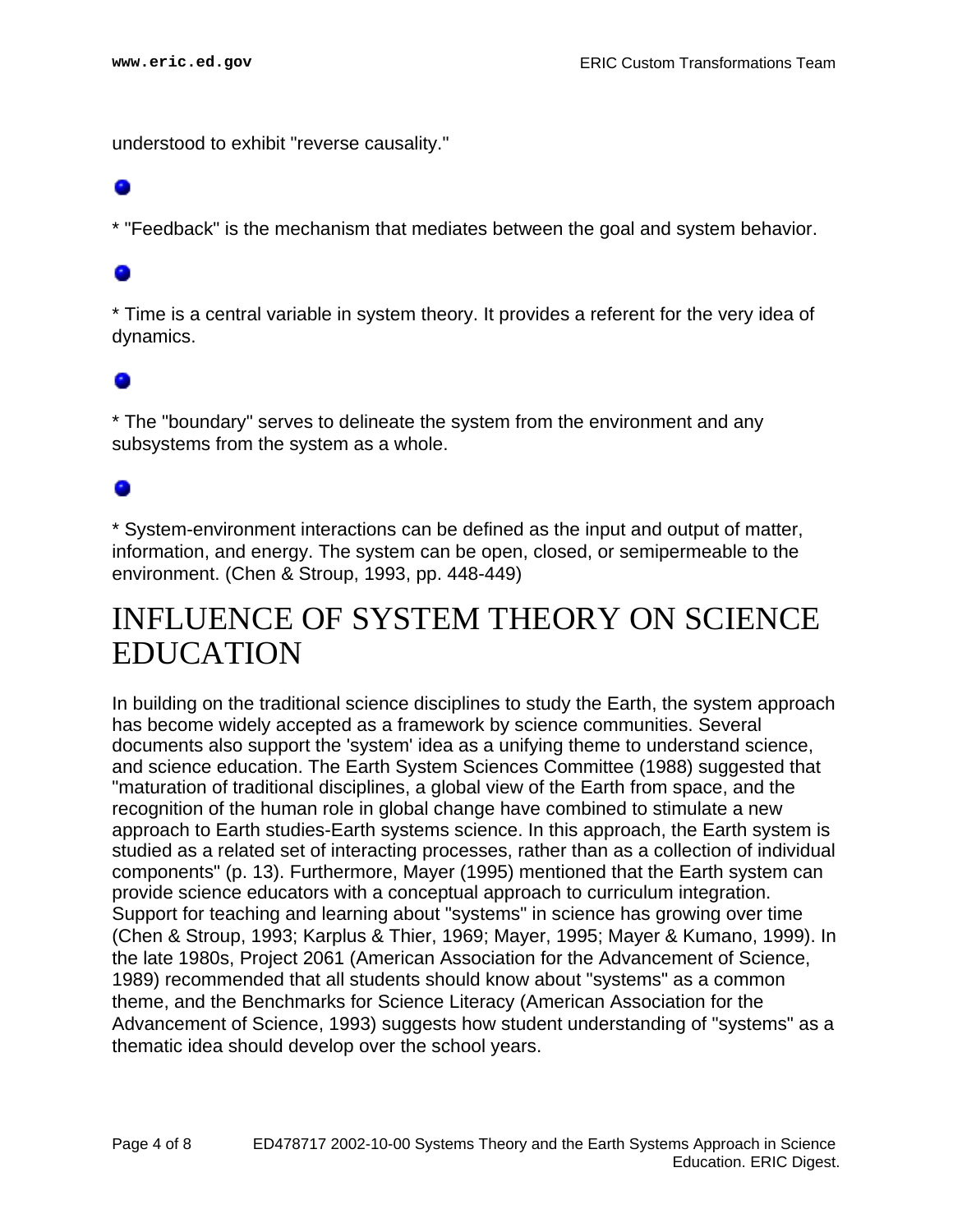understood to exhibit "reverse causality."

\* "Feedback" is the mechanism that mediates between the goal and system behavior.

\* Time is a central variable in system theory. It provides a referent for the very idea of dynamics.

\* The "boundary" serves to delineate the system from the environment and any subsystems from the system as a whole.

\* System-environment interactions can be defined as the input and output of matter, information, and energy. The system can be open, closed, or semipermeable to the environment. (Chen & Stroup, 1993, pp. 448-449)

## <span id="page-3-0"></span>INFLUENCE OF SYSTEM THEORY ON SCIENCE EDUCATION

In building on the traditional science disciplines to study the Earth, the system approach has become widely accepted as a framework by science communities. Several documents also support the 'system' idea as a unifying theme to understand science, and science education. The Earth System Sciences Committee (1988) suggested that "maturation of traditional disciplines, a global view of the Earth from space, and the recognition of the human role in global change have combined to stimulate a new approach to Earth studies-Earth systems science. In this approach, the Earth system is studied as a related set of interacting processes, rather than as a collection of individual components" (p. 13). Furthermore, Mayer (1995) mentioned that the Earth system can provide science educators with a conceptual approach to curriculum integration. Support for teaching and learning about "systems" in science has growing over time (Chen & Stroup, 1993; Karplus & Thier, 1969; Mayer, 1995; Mayer & Kumano, 1999). In the late 1980s, Project 2061 (American Association for the Advancement of Science, 1989) recommended that all students should know about "systems" as a common theme, and the Benchmarks for Science Literacy (American Association for the Advancement of Science, 1993) suggests how student understanding of "systems" as a thematic idea should develop over the school years.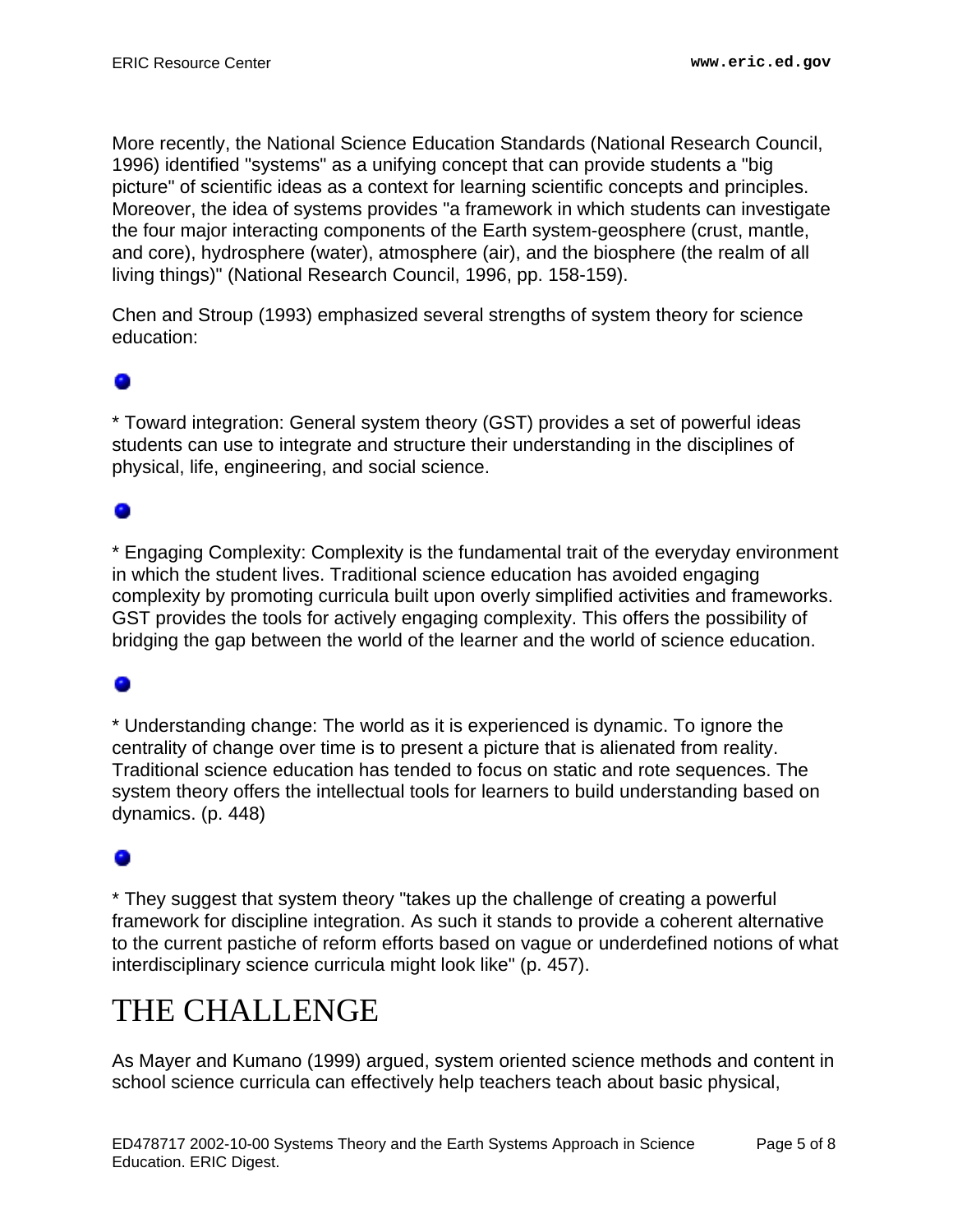More recently, the National Science Education Standards (National Research Council, 1996) identified "systems" as a unifying concept that can provide students a "big picture" of scientific ideas as a context for learning scientific concepts and principles. Moreover, the idea of systems provides "a framework in which students can investigate the four major interacting components of the Earth system-geosphere (crust, mantle, and core), hydrosphere (water), atmosphere (air), and the biosphere (the realm of all living things)" (National Research Council, 1996, pp. 158-159).

Chen and Stroup (1993) emphasized several strengths of system theory for science education:

\* Toward integration: General system theory (GST) provides a set of powerful ideas students can use to integrate and structure their understanding in the disciplines of physical, life, engineering, and social science.

## ۰

\* Engaging Complexity: Complexity is the fundamental trait of the everyday environment in which the student lives. Traditional science education has avoided engaging complexity by promoting curricula built upon overly simplified activities and frameworks. GST provides the tools for actively engaging complexity. This offers the possibility of bridging the gap between the world of the learner and the world of science education.

\* Understanding change: The world as it is experienced is dynamic. To ignore the centrality of change over time is to present a picture that is alienated from reality. Traditional science education has tended to focus on static and rote sequences. The system theory offers the intellectual tools for learners to build understanding based on dynamics. (p. 448)

\* They suggest that system theory "takes up the challenge of creating a powerful framework for discipline integration. As such it stands to provide a coherent alternative to the current pastiche of reform efforts based on vague or underdefined notions of what interdisciplinary science curricula might look like" (p. 457).

# <span id="page-4-0"></span>THE CHALLENGE

As Mayer and Kumano (1999) argued, system oriented science methods and content in school science curricula can effectively help teachers teach about basic physical,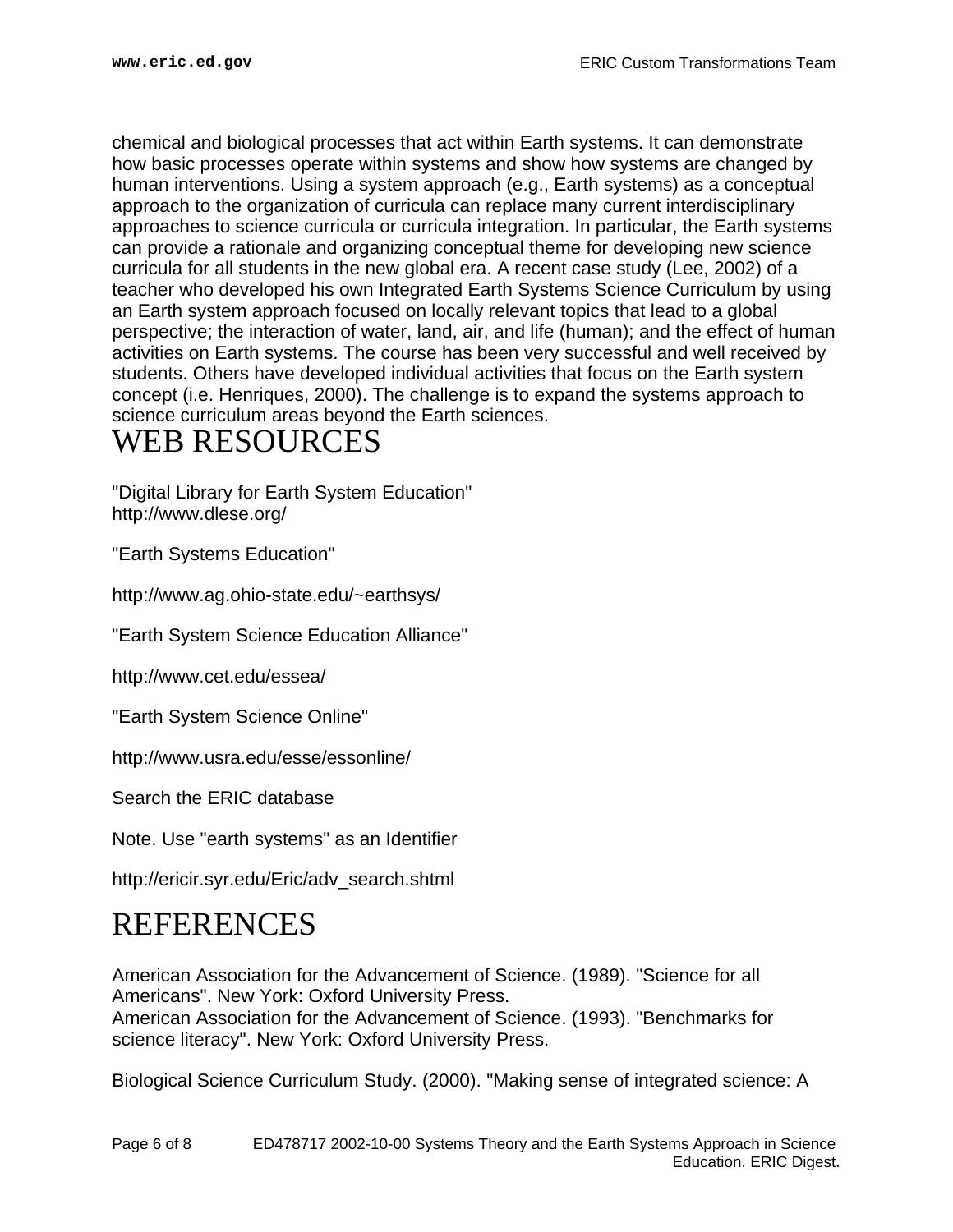chemical and biological processes that act within Earth systems. It can demonstrate how basic processes operate within systems and show how systems are changed by human interventions. Using a system approach (e.g., Earth systems) as a conceptual approach to the organization of curricula can replace many current interdisciplinary approaches to science curricula or curricula integration. In particular, the Earth systems can provide a rationale and organizing conceptual theme for developing new science curricula for all students in the new global era. A recent case study (Lee, 2002) of a teacher who developed his own Integrated Earth Systems Science Curriculum by using an Earth system approach focused on locally relevant topics that lead to a global perspective; the interaction of water, land, air, and life (human); and the effect of human activities on Earth systems. The course has been very successful and well received by students. Others have developed individual activities that focus on the Earth system concept (i.e. Henriques, 2000). The challenge is to expand the systems approach to science curriculum areas beyond the Earth sciences.

## <span id="page-5-0"></span>WEB RESOURCES

"Digital Library for Earth System Education" http://www.dlese.org/

"Earth Systems Education"

http://www.ag.ohio-state.edu/~earthsys/

"Earth System Science Education Alliance"

http://www.cet.edu/essea/

"Earth System Science Online"

http://www.usra.edu/esse/essonline/

Search the ERIC database

Note. Use "earth systems" as an Identifier

http://ericir.syr.edu/Eric/adv\_search.shtml

## <span id="page-5-1"></span>REFERENCES

American Association for the Advancement of Science. (1989). "Science for all Americans". New York: Oxford University Press. American Association for the Advancement of Science. (1993). "Benchmarks for science literacy". New York: Oxford University Press.

Biological Science Curriculum Study. (2000). "Making sense of integrated science: A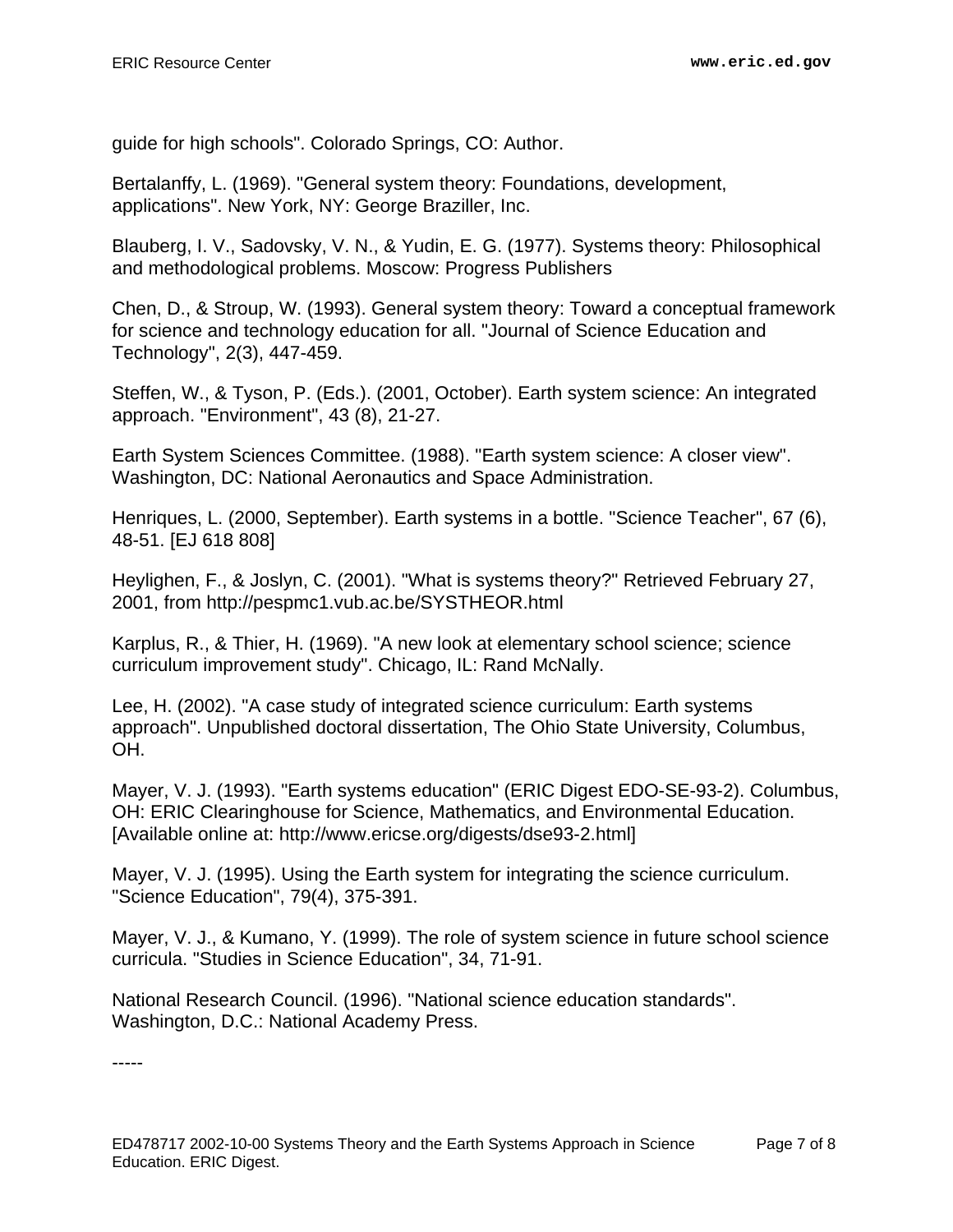guide for high schools". Colorado Springs, CO: Author.

Bertalanffy, L. (1969). "General system theory: Foundations, development, applications". New York, NY: George Braziller, Inc.

Blauberg, I. V., Sadovsky, V. N., & Yudin, E. G. (1977). Systems theory: Philosophical and methodological problems. Moscow: Progress Publishers

Chen, D., & Stroup, W. (1993). General system theory: Toward a conceptual framework for science and technology education for all. "Journal of Science Education and Technology", 2(3), 447-459.

Steffen, W., & Tyson, P. (Eds.). (2001, October). Earth system science: An integrated approach. "Environment", 43 (8), 21-27.

Earth System Sciences Committee. (1988). "Earth system science: A closer view". Washington, DC: National Aeronautics and Space Administration.

Henriques, L. (2000, September). Earth systems in a bottle. "Science Teacher", 67 (6), 48-51. [EJ 618 808]

Heylighen, F., & Joslyn, C. (2001). "What is systems theory?" Retrieved February 27, 2001, from http://pespmc1.vub.ac.be/SYSTHEOR.html

Karplus, R., & Thier, H. (1969). "A new look at elementary school science; science curriculum improvement study". Chicago, IL: Rand McNally.

Lee, H. (2002). "A case study of integrated science curriculum: Earth systems approach". Unpublished doctoral dissertation, The Ohio State University, Columbus, OH.

Mayer, V. J. (1993). "Earth systems education" (ERIC Digest EDO-SE-93-2). Columbus, OH: ERIC Clearinghouse for Science, Mathematics, and Environmental Education. [Available online at: http://www.ericse.org/digests/dse93-2.html]

Mayer, V. J. (1995). Using the Earth system for integrating the science curriculum. "Science Education", 79(4), 375-391.

Mayer, V. J., & Kumano, Y. (1999). The role of system science in future school science curricula. "Studies in Science Education", 34, 71-91.

National Research Council. (1996). "National science education standards". Washington, D.C.: National Academy Press.

-----